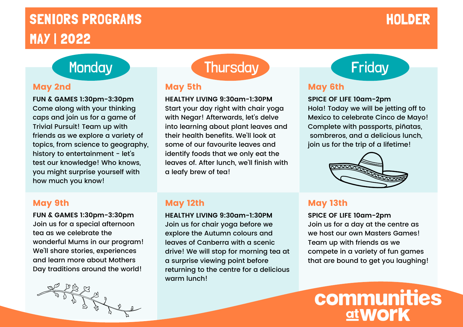# SENIORS PROGRAMS NEWSFILM AND SENIORS AND ALL THE RESERVE ENTITLE IN THE RESERVE ENTITLE IN THE RESERVE ENTITLE MAY | 2022

**FUN & GAMES 1:30pm-3:30pm** Come along with your thinking caps and join us for a game of Trivial Pursuit! Team up with friends as we explore a variety of topics, from science to geography, history to entertainment - let's test our knowledge! Who knows, you might surprise yourself with how much you know!

## Monday Thursday Thursday Friday

### May 5th

**HEALTHY LIVING 9:30am-1:30PM** Start your day right with chair yoga with Negar! Afterwards, let's delve into learning about plant leaves and their health benefits. We'll look at some of our favourite leaves and identify foods that we only eat the leaves of. After lunch, we'll finish with a leafy brew of tea!

### May 9th

**FUN & GAMES 1:30pm-3:30pm** Join us for a special afternoon tea as we celebrate the wonderful Mums in our program! We'll share stories, experiences and learn more about Mothers Day traditions around the world!



### May 12th

**HEALTHY LIVING 9:30am-1:30PM** Join us for chair yoga before we explore the Autumn colours and leaves of Canberra with a scenic drive! We will stop for morning tea at a surprise viewing point before returning to the centre for a delicious warm lunch!

### May 2nd May 19th May 5th May 2nd May 6th

### **SPICE OF LIFE 10am-2pm**

Hola! Today we will be jetting off to Mexico to celebrate Cinco de Mayo! Complete with passports, piñatas, sombreros, and a delicious lunch, join us for the trip of a lifetime!



### May 13th

**SPICE OF LIFE 10am-2pm** Join us for a day at the centre as we host our own Masters Games! Team up with friends as we compete in a variety of fun games that are bound to get you laughing!